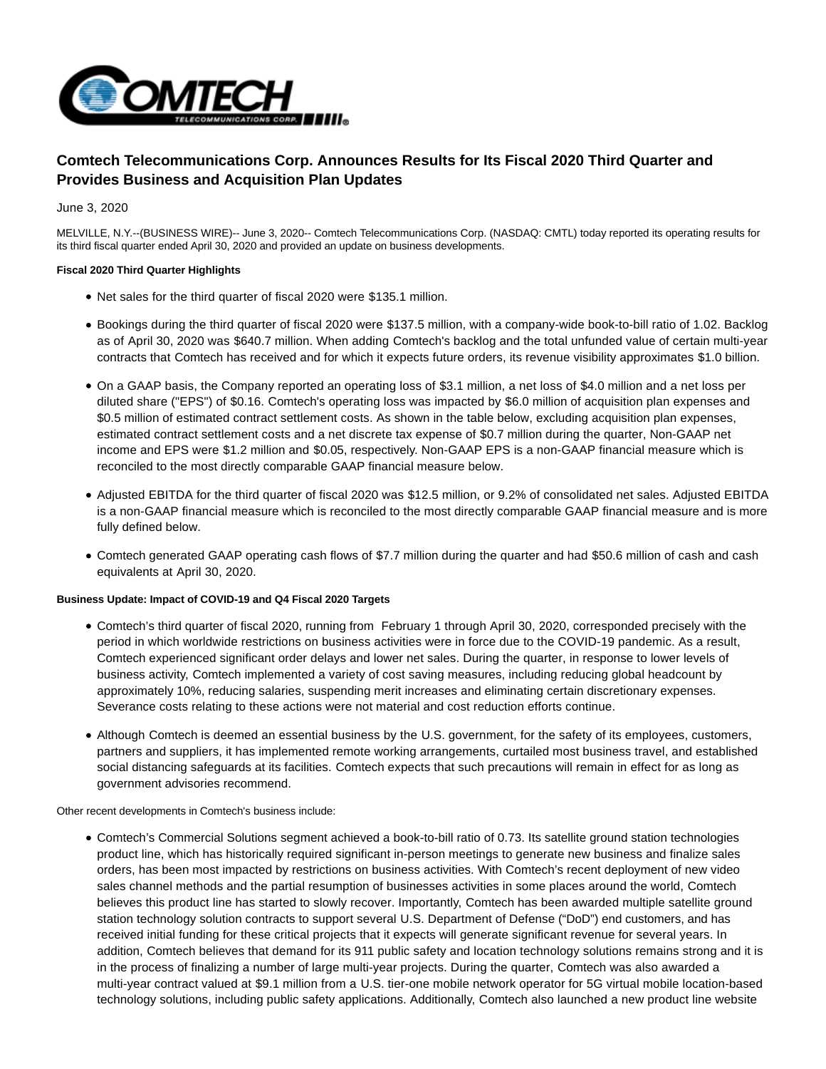

# **Comtech Telecommunications Corp. Announces Results for Its Fiscal 2020 Third Quarter and Provides Business and Acquisition Plan Updates**

June 3, 2020

MELVILLE, N.Y.--(BUSINESS WIRE)-- June 3, 2020-- Comtech Telecommunications Corp. (NASDAQ: CMTL) today reported its operating results for its third fiscal quarter ended April 30, 2020 and provided an update on business developments.

## **Fiscal 2020 Third Quarter Highlights**

- Net sales for the third quarter of fiscal 2020 were \$135.1 million.
- Bookings during the third quarter of fiscal 2020 were \$137.5 million, with a company-wide book-to-bill ratio of 1.02. Backlog as of April 30, 2020 was \$640.7 million. When adding Comtech's backlog and the total unfunded value of certain multi-year contracts that Comtech has received and for which it expects future orders, its revenue visibility approximates \$1.0 billion.
- On a GAAP basis, the Company reported an operating loss of \$3.1 million, a net loss of \$4.0 million and a net loss per diluted share ("EPS") of \$0.16. Comtech's operating loss was impacted by \$6.0 million of acquisition plan expenses and \$0.5 million of estimated contract settlement costs. As shown in the table below, excluding acquisition plan expenses, estimated contract settlement costs and a net discrete tax expense of \$0.7 million during the quarter, Non-GAAP net income and EPS were \$1.2 million and \$0.05, respectively. Non-GAAP EPS is a non-GAAP financial measure which is reconciled to the most directly comparable GAAP financial measure below.
- Adjusted EBITDA for the third quarter of fiscal 2020 was \$12.5 million, or 9.2% of consolidated net sales. Adjusted EBITDA is a non-GAAP financial measure which is reconciled to the most directly comparable GAAP financial measure and is more fully defined below.
- Comtech generated GAAP operating cash flows of \$7.7 million during the quarter and had \$50.6 million of cash and cash equivalents at April 30, 2020.

## **Business Update: Impact of COVID-19 and Q4 Fiscal 2020 Targets**

- Comtech's third quarter of fiscal 2020, running from February 1 through April 30, 2020, corresponded precisely with the period in which worldwide restrictions on business activities were in force due to the COVID-19 pandemic. As a result, Comtech experienced significant order delays and lower net sales. During the quarter, in response to lower levels of business activity, Comtech implemented a variety of cost saving measures, including reducing global headcount by approximately 10%, reducing salaries, suspending merit increases and eliminating certain discretionary expenses. Severance costs relating to these actions were not material and cost reduction efforts continue.
- Although Comtech is deemed an essential business by the U.S. government, for the safety of its employees, customers, partners and suppliers, it has implemented remote working arrangements, curtailed most business travel, and established social distancing safeguards at its facilities. Comtech expects that such precautions will remain in effect for as long as government advisories recommend.

Other recent developments in Comtech's business include:

Comtech's Commercial Solutions segment achieved a book-to-bill ratio of 0.73. Its satellite ground station technologies product line, which has historically required significant in-person meetings to generate new business and finalize sales orders, has been most impacted by restrictions on business activities. With Comtech's recent deployment of new video sales channel methods and the partial resumption of businesses activities in some places around the world, Comtech believes this product line has started to slowly recover. Importantly, Comtech has been awarded multiple satellite ground station technology solution contracts to support several U.S. Department of Defense ("DoD") end customers, and has received initial funding for these critical projects that it expects will generate significant revenue for several years. In addition, Comtech believes that demand for its 911 public safety and location technology solutions remains strong and it is in the process of finalizing a number of large multi-year projects. During the quarter, Comtech was also awarded a multi-year contract valued at \$9.1 million from a U.S. tier-one mobile network operator for 5G virtual mobile location-based technology solutions, including public safety applications. Additionally, Comtech also launched a new product line website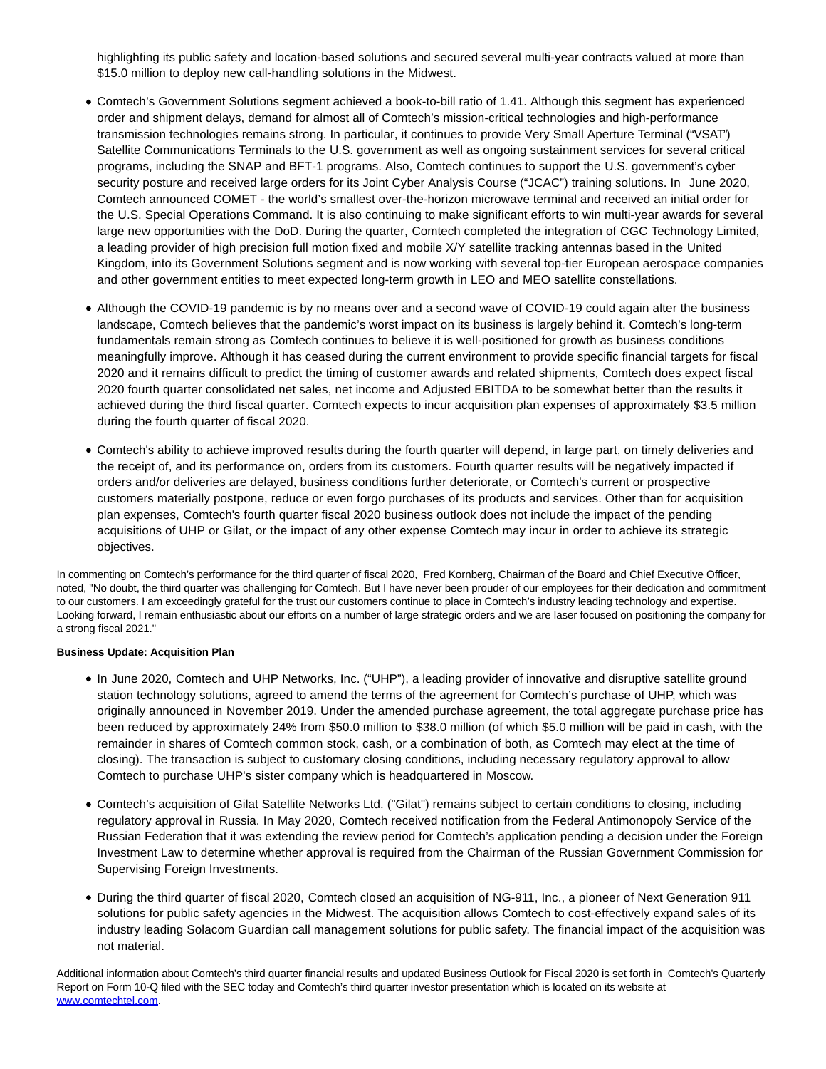highlighting its public safety and location-based solutions and secured several multi-year contracts valued at more than \$15.0 million to deploy new call-handling solutions in the Midwest.

- Comtech's Government Solutions segment achieved a book-to-bill ratio of 1.41. Although this segment has experienced order and shipment delays, demand for almost all of Comtech's mission-critical technologies and high-performance transmission technologies remains strong. In particular, it continues to provide Very Small Aperture Terminal ("VSAT") Satellite Communications Terminals to the U.S. government as well as ongoing sustainment services for several critical programs, including the SNAP and BFT-1 programs. Also, Comtech continues to support the U.S. government's cyber security posture and received large orders for its Joint Cyber Analysis Course ("JCAC") training solutions. In June 2020, Comtech announced COMET - the world's smallest over-the-horizon microwave terminal and received an initial order for the U.S. Special Operations Command. It is also continuing to make significant efforts to win multi-year awards for several large new opportunities with the DoD. During the quarter, Comtech completed the integration of CGC Technology Limited, a leading provider of high precision full motion fixed and mobile X/Y satellite tracking antennas based in the United Kingdom, into its Government Solutions segment and is now working with several top-tier European aerospace companies and other government entities to meet expected long-term growth in LEO and MEO satellite constellations.
- Although the COVID-19 pandemic is by no means over and a second wave of COVID-19 could again alter the business landscape, Comtech believes that the pandemic's worst impact on its business is largely behind it. Comtech's long-term fundamentals remain strong as Comtech continues to believe it is well-positioned for growth as business conditions meaningfully improve. Although it has ceased during the current environment to provide specific financial targets for fiscal 2020 and it remains difficult to predict the timing of customer awards and related shipments, Comtech does expect fiscal 2020 fourth quarter consolidated net sales, net income and Adjusted EBITDA to be somewhat better than the results it achieved during the third fiscal quarter. Comtech expects to incur acquisition plan expenses of approximately \$3.5 million during the fourth quarter of fiscal 2020.
- Comtech's ability to achieve improved results during the fourth quarter will depend, in large part, on timely deliveries and the receipt of, and its performance on, orders from its customers. Fourth quarter results will be negatively impacted if orders and/or deliveries are delayed, business conditions further deteriorate, or Comtech's current or prospective customers materially postpone, reduce or even forgo purchases of its products and services. Other than for acquisition plan expenses, Comtech's fourth quarter fiscal 2020 business outlook does not include the impact of the pending acquisitions of UHP or Gilat, or the impact of any other expense Comtech may incur in order to achieve its strategic objectives.

In commenting on Comtech's performance for the third quarter of fiscal 2020, Fred Kornberg, Chairman of the Board and Chief Executive Officer, noted, "No doubt, the third quarter was challenging for Comtech. But I have never been prouder of our employees for their dedication and commitment to our customers. I am exceedingly grateful for the trust our customers continue to place in Comtech's industry leading technology and expertise. Looking forward, I remain enthusiastic about our efforts on a number of large strategic orders and we are laser focused on positioning the company for a strong fiscal 2021."

## **Business Update: Acquisition Plan**

- In June 2020, Comtech and UHP Networks, Inc. ("UHP"), a leading provider of innovative and disruptive satellite ground station technology solutions, agreed to amend the terms of the agreement for Comtech's purchase of UHP, which was originally announced in November 2019. Under the amended purchase agreement, the total aggregate purchase price has been reduced by approximately 24% from \$50.0 million to \$38.0 million (of which \$5.0 million will be paid in cash, with the remainder in shares of Comtech common stock, cash, or a combination of both, as Comtech may elect at the time of closing). The transaction is subject to customary closing conditions, including necessary regulatory approval to allow Comtech to purchase UHP's sister company which is headquartered in Moscow.
- Comtech's acquisition of Gilat Satellite Networks Ltd. ("Gilat") remains subject to certain conditions to closing, including regulatory approval in Russia. In May 2020, Comtech received notification from the Federal Antimonopoly Service of the Russian Federation that it was extending the review period for Comtech's application pending a decision under the Foreign Investment Law to determine whether approval is required from the Chairman of the Russian Government Commission for Supervising Foreign Investments.
- During the third quarter of fiscal 2020, Comtech closed an acquisition of NG-911, Inc., a pioneer of Next Generation 911 solutions for public safety agencies in the Midwest. The acquisition allows Comtech to cost-effectively expand sales of its industry leading Solacom Guardian call management solutions for public safety. The financial impact of the acquisition was not material.

Additional information about Comtech's third quarter financial results and updated Business Outlook for Fiscal 2020 is set forth in Comtech's Quarterly Report on Form 10-Q filed with the SEC today and Comtech's third quarter investor presentation which is located on its website at [www.comtechtel.com.](https://cts.businesswire.com/ct/CT?id=smartlink&url=http%3A%2F%2Fwww.comtechtel.com&esheet=52230138&newsitemid=20200603005842&lan=en-US&anchor=www.comtechtel.com&index=1&md5=8a7a52d666e9fbc9aac1daecbe7e5189)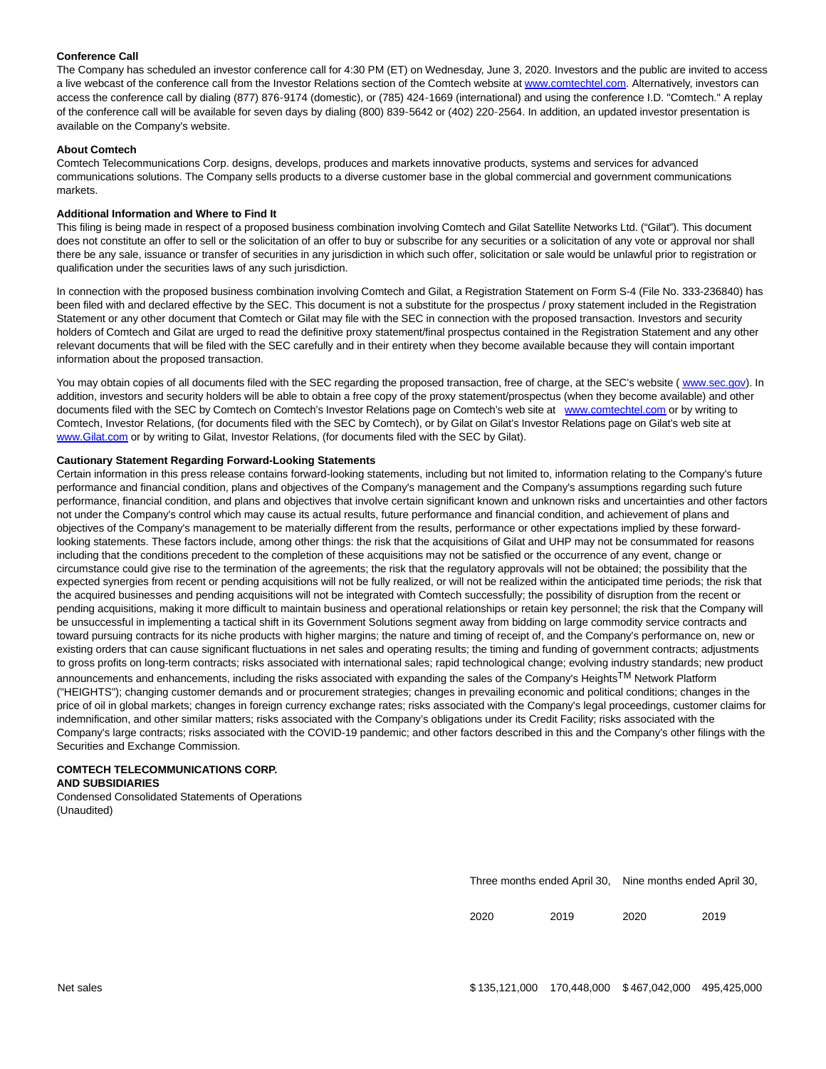### **Conference Call**

The Company has scheduled an investor conference call for 4:30 PM (ET) on Wednesday, June 3, 2020. Investors and the public are invited to access a live webcast of the conference call from the Investor Relations section of the Comtech website a[t www.comtechtel.com.](https://cts.businesswire.com/ct/CT?id=smartlink&url=http%3A%2F%2Fwww.comtechtel.com&esheet=52230138&newsitemid=20200603005842&lan=en-US&anchor=www.comtechtel.com&index=2&md5=9a5b0c66327fd652446352fda9ac8c38) Alternatively, investors can access the conference call by dialing (877) 876‑9174 (domestic), or (785) 424‑1669 (international) and using the conference I.D. "Comtech." A replay of the conference call will be available for seven days by dialing (800) 839‑5642 or (402) 220‑2564. In addition, an updated investor presentation is available on the Company's website.

### **About Comtech**

Comtech Telecommunications Corp. designs, develops, produces and markets innovative products, systems and services for advanced communications solutions. The Company sells products to a diverse customer base in the global commercial and government communications markets.

## **Additional Information and Where to Find It**

This filing is being made in respect of a proposed business combination involving Comtech and Gilat Satellite Networks Ltd. ("Gilat"). This document does not constitute an offer to sell or the solicitation of an offer to buy or subscribe for any securities or a solicitation of any vote or approval nor shall there be any sale, issuance or transfer of securities in any jurisdiction in which such offer, solicitation or sale would be unlawful prior to registration or qualification under the securities laws of any such jurisdiction.

In connection with the proposed business combination involving Comtech and Gilat, a Registration Statement on Form S-4 (File No. 333-236840) has been filed with and declared effective by the SEC. This document is not a substitute for the prospectus / proxy statement included in the Registration Statement or any other document that Comtech or Gilat may file with the SEC in connection with the proposed transaction. Investors and security holders of Comtech and Gilat are urged to read the definitive proxy statement/final prospectus contained in the Registration Statement and any other relevant documents that will be filed with the SEC carefully and in their entirety when they become available because they will contain important information about the proposed transaction.

You may obtain copies of all documents filed with the SEC regarding the proposed transaction, free of charge, at the SEC's website ( [www.sec.gov\).](https://cts.businesswire.com/ct/CT?id=smartlink&url=http%3A%2F%2Fwww.sec.gov&esheet=52230138&newsitemid=20200603005842&lan=en-US&anchor=www.sec.gov&index=3&md5=eaa86140114eb45842acf20fd5897661) In addition, investors and security holders will be able to obtain a free copy of the proxy statement/prospectus (when they become available) and other documents filed with the SEC by Comtech on Comtech's Investor Relations page on Comtech's web site at [www.comtechtel.com o](https://cts.businesswire.com/ct/CT?id=smartlink&url=http%3A%2F%2Fwww.comtechtel.com&esheet=52230138&newsitemid=20200603005842&lan=en-US&anchor=www.comtechtel.com&index=4&md5=ed0b230e2693c07a5e686f9d340b844a)r by writing to Comtech, Investor Relations, (for documents filed with the SEC by Comtech), or by Gilat on Gilat's Investor Relations page on Gilat's web site at [www.Gilat.com o](https://cts.businesswire.com/ct/CT?id=smartlink&url=http%3A%2F%2Fwww.Gilat.com&esheet=52230138&newsitemid=20200603005842&lan=en-US&anchor=www.Gilat.com&index=5&md5=3a3e07d37e34f13fc8d4f2dea1daca79)r by writing to Gilat, Investor Relations, (for documents filed with the SEC by Gilat).

### **Cautionary Statement Regarding Forward-Looking Statements**

Certain information in this press release contains forward-looking statements, including but not limited to, information relating to the Company's future performance and financial condition, plans and objectives of the Company's management and the Company's assumptions regarding such future performance, financial condition, and plans and objectives that involve certain significant known and unknown risks and uncertainties and other factors not under the Company's control which may cause its actual results, future performance and financial condition, and achievement of plans and objectives of the Company's management to be materially different from the results, performance or other expectations implied by these forwardlooking statements. These factors include, among other things: the risk that the acquisitions of Gilat and UHP may not be consummated for reasons including that the conditions precedent to the completion of these acquisitions may not be satisfied or the occurrence of any event, change or circumstance could give rise to the termination of the agreements; the risk that the regulatory approvals will not be obtained; the possibility that the expected synergies from recent or pending acquisitions will not be fully realized, or will not be realized within the anticipated time periods; the risk that the acquired businesses and pending acquisitions will not be integrated with Comtech successfully; the possibility of disruption from the recent or pending acquisitions, making it more difficult to maintain business and operational relationships or retain key personnel; the risk that the Company will be unsuccessful in implementing a tactical shift in its Government Solutions segment away from bidding on large commodity service contracts and toward pursuing contracts for its niche products with higher margins; the nature and timing of receipt of, and the Company's performance on, new or existing orders that can cause significant fluctuations in net sales and operating results; the timing and funding of government contracts; adjustments to gross profits on long-term contracts; risks associated with international sales; rapid technological change; evolving industry standards; new product announcements and enhancements, including the risks associated with expanding the sales of the Company's Heights<sup>TM</sup> Network Platform ("HEIGHTS"); changing customer demands and or procurement strategies; changes in prevailing economic and political conditions; changes in the price of oil in global markets; changes in foreign currency exchange rates; risks associated with the Company's legal proceedings, customer claims for indemnification, and other similar matters; risks associated with the Company's obligations under its Credit Facility; risks associated with the Company's large contracts; risks associated with the COVID-19 pandemic; and other factors described in this and the Company's other filings with the Securities and Exchange Commission.

#### **COMTECH TELECOMMUNICATIONS CORP. AND SUBSIDIARIES**

Condensed Consolidated Statements of Operations (Unaudited)

| Three months ended April 30, Nine months ended April 30, |  |
|----------------------------------------------------------|--|
|                                                          |  |

2020 2019 2020 2019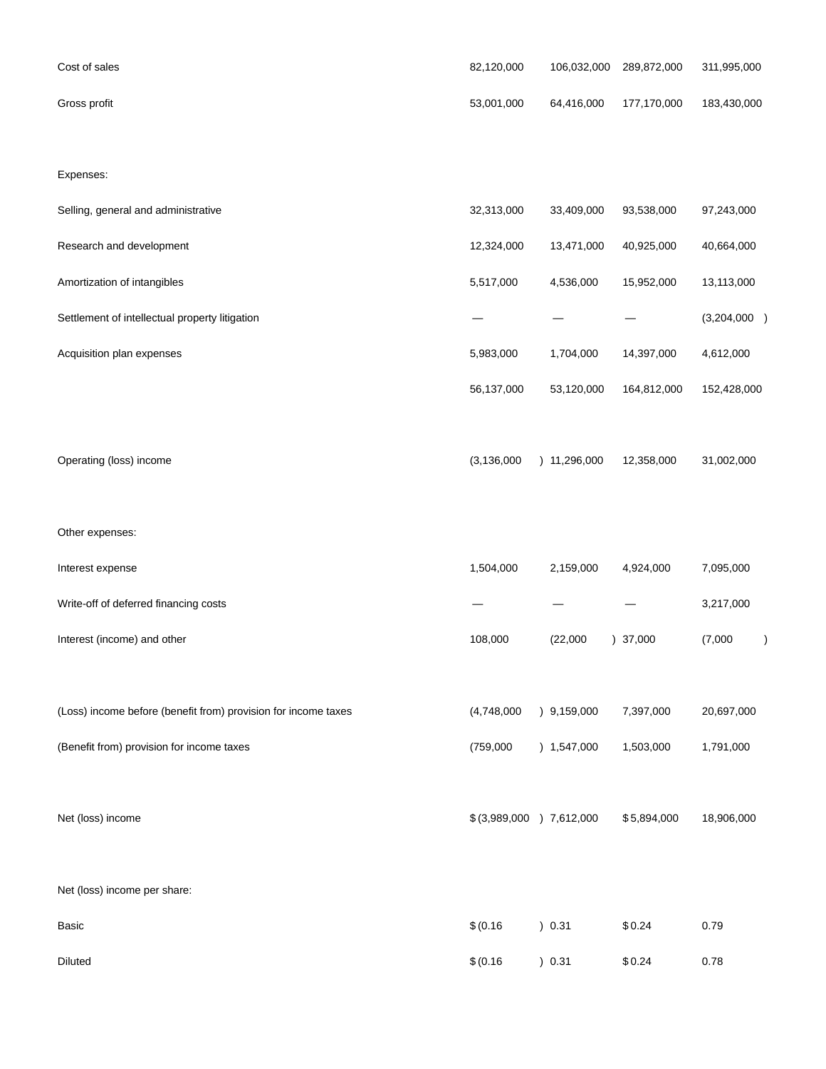| Cost of sales                                                  | 82,120,000               | 106,032,000  | 289,872,000 | 311,995,000 |  |
|----------------------------------------------------------------|--------------------------|--------------|-------------|-------------|--|
| Gross profit                                                   | 53,001,000               | 64,416,000   | 177,170,000 | 183,430,000 |  |
|                                                                |                          |              |             |             |  |
| Expenses:                                                      |                          |              |             |             |  |
| Selling, general and administrative                            | 32,313,000               | 33,409,000   | 93,538,000  | 97,243,000  |  |
| Research and development                                       | 12,324,000               | 13,471,000   | 40,925,000  | 40,664,000  |  |
| Amortization of intangibles                                    | 5,517,000                | 4,536,000    | 15,952,000  | 13,113,000  |  |
| Settlement of intellectual property litigation                 |                          |              |             | (3,204,000) |  |
| Acquisition plan expenses                                      | 5,983,000                | 1,704,000    | 14,397,000  | 4,612,000   |  |
|                                                                | 56,137,000               | 53,120,000   | 164,812,000 | 152,428,000 |  |
|                                                                |                          |              |             |             |  |
| Operating (loss) income                                        | (3, 136, 000)            | ) 11,296,000 | 12,358,000  | 31,002,000  |  |
|                                                                |                          |              |             |             |  |
| Other expenses:                                                |                          |              |             |             |  |
| Interest expense                                               | 1,504,000                | 2,159,000    | 4,924,000   | 7,095,000   |  |
| Write-off of deferred financing costs                          |                          |              |             | 3,217,000   |  |
| Interest (income) and other                                    | 108,000                  | (22,000)     | ) 37,000    | (7,000)     |  |
|                                                                |                          |              |             |             |  |
| (Loss) income before (benefit from) provision for income taxes | (4,748,000)              | 9,159,000    | 7,397,000   | 20,697,000  |  |
| (Benefit from) provision for income taxes                      | (759,000)                | ) 1,547,000  | 1,503,000   | 1,791,000   |  |
|                                                                |                          |              |             |             |  |
| Net (loss) income                                              | \$(3,989,000) 7,612,000) |              | \$5,894,000 | 18,906,000  |  |
|                                                                |                          |              |             |             |  |
| Net (loss) income per share:                                   |                          |              |             |             |  |
| Basic                                                          | \$ (0.16)                | ) 0.31       | \$0.24      | 0.79        |  |
| Diluted                                                        | \$ (0.16)                | ) 0.31       | \$0.24      | 0.78        |  |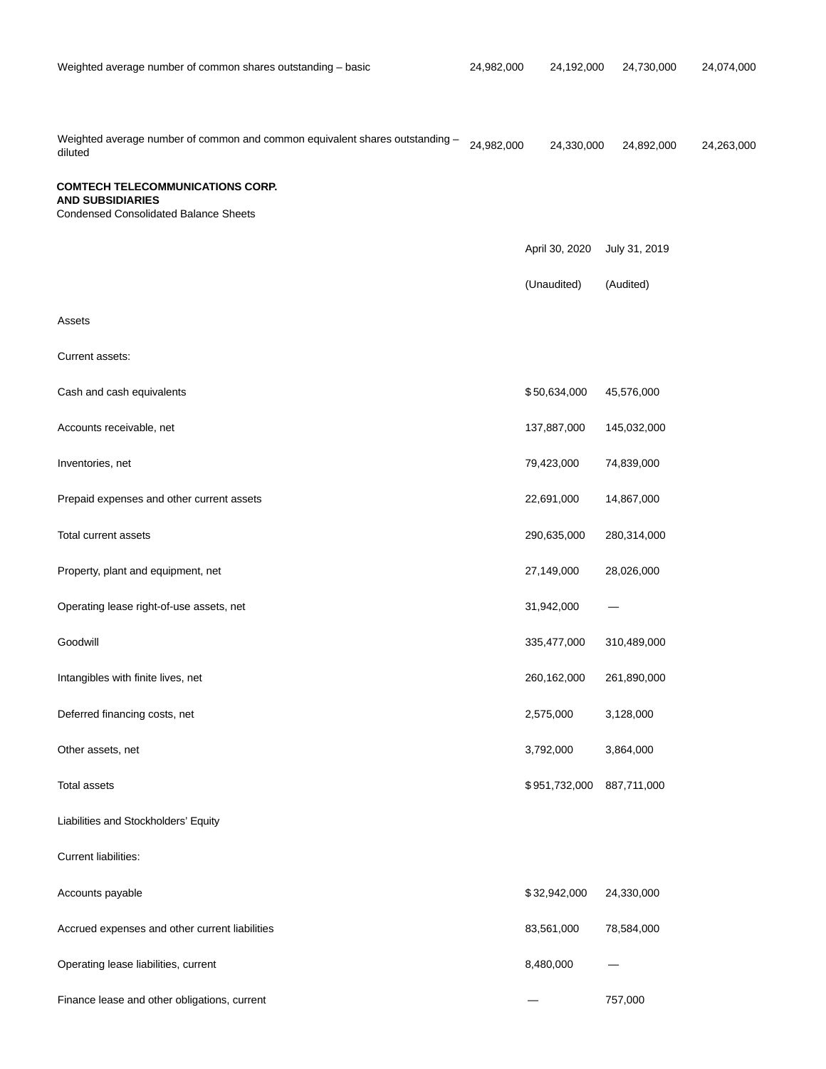| Weighted average number of common shares outstanding - basic                                                       | 24,982,000 | 24,192,000     | 24,730,000    | 24,074,000 |
|--------------------------------------------------------------------------------------------------------------------|------------|----------------|---------------|------------|
|                                                                                                                    |            |                |               |            |
| Weighted average number of common and common equivalent shares outstanding -<br>diluted                            | 24,982,000 | 24,330,000     | 24,892,000    | 24,263,000 |
| <b>COMTECH TELECOMMUNICATIONS CORP.</b><br><b>AND SUBSIDIARIES</b><br><b>Condensed Consolidated Balance Sheets</b> |            |                |               |            |
|                                                                                                                    |            | April 30, 2020 | July 31, 2019 |            |
|                                                                                                                    |            | (Unaudited)    | (Audited)     |            |
| Assets                                                                                                             |            |                |               |            |
| Current assets:                                                                                                    |            |                |               |            |
| Cash and cash equivalents                                                                                          |            | \$50,634,000   | 45,576,000    |            |
| Accounts receivable, net                                                                                           |            | 137,887,000    | 145,032,000   |            |
| Inventories, net                                                                                                   |            | 79,423,000     | 74,839,000    |            |
| Prepaid expenses and other current assets                                                                          |            | 22,691,000     | 14,867,000    |            |
| Total current assets                                                                                               |            | 290,635,000    | 280,314,000   |            |
| Property, plant and equipment, net                                                                                 |            | 27,149,000     | 28,026,000    |            |
| Operating lease right-of-use assets, net                                                                           |            | 31,942,000     |               |            |
| Goodwill                                                                                                           |            | 335,477,000    | 310,489,000   |            |
| Intangibles with finite lives, net                                                                                 |            | 260,162,000    | 261,890,000   |            |
| Deferred financing costs, net                                                                                      |            | 2,575,000      | 3,128,000     |            |
| Other assets, net                                                                                                  |            | 3,792,000      | 3,864,000     |            |
| <b>Total assets</b>                                                                                                |            | \$951,732,000  | 887,711,000   |            |
| Liabilities and Stockholders' Equity                                                                               |            |                |               |            |
| Current liabilities:                                                                                               |            |                |               |            |
| Accounts payable                                                                                                   |            | \$32,942,000   | 24,330,000    |            |
| Accrued expenses and other current liabilities                                                                     |            | 83,561,000     | 78,584,000    |            |
| Operating lease liabilities, current                                                                               |            | 8,480,000      |               |            |
| Finance lease and other obligations, current                                                                       |            |                | 757,000       |            |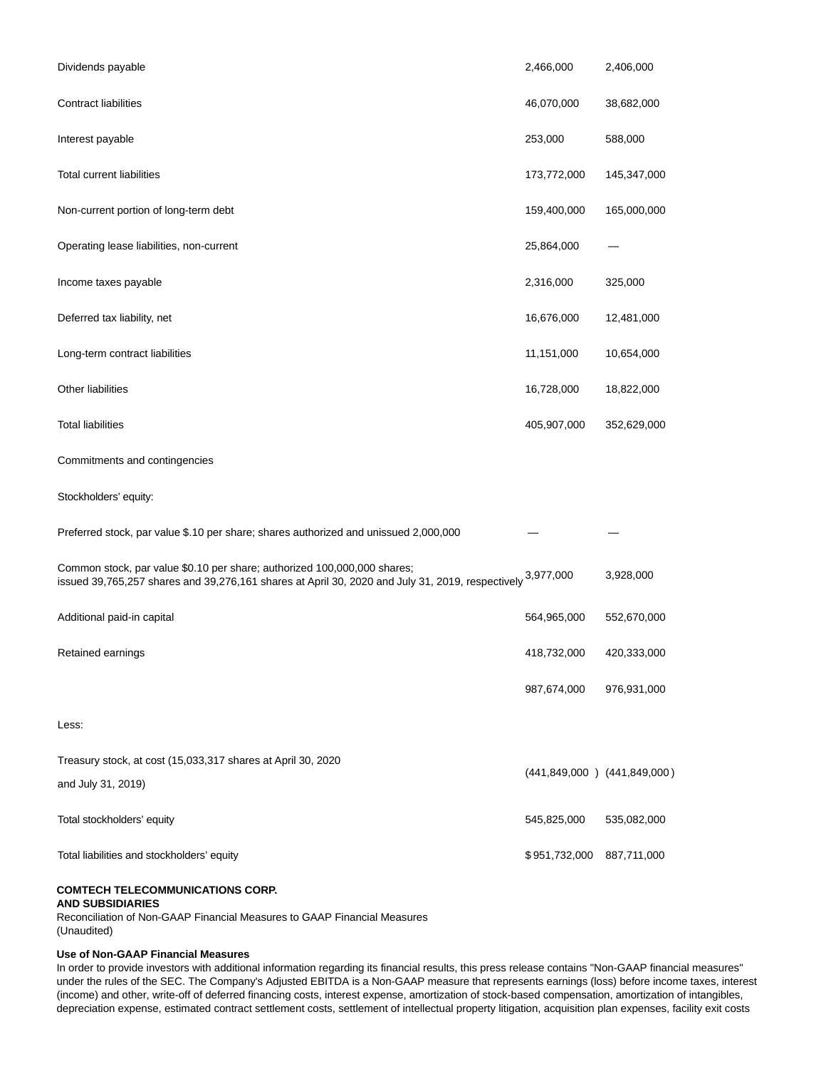| Dividends payable                                                                                                                                                            | 2,466,000                   | 2,406,000   |
|------------------------------------------------------------------------------------------------------------------------------------------------------------------------------|-----------------------------|-------------|
| <b>Contract liabilities</b>                                                                                                                                                  | 46,070,000                  | 38,682,000  |
| Interest payable                                                                                                                                                             | 253,000                     | 588,000     |
| <b>Total current liabilities</b>                                                                                                                                             | 173,772,000                 | 145,347,000 |
| Non-current portion of long-term debt                                                                                                                                        | 159,400,000                 | 165,000,000 |
| Operating lease liabilities, non-current                                                                                                                                     | 25,864,000                  |             |
| Income taxes payable                                                                                                                                                         | 2,316,000                   | 325,000     |
| Deferred tax liability, net                                                                                                                                                  | 16,676,000                  | 12,481,000  |
| Long-term contract liabilities                                                                                                                                               | 11,151,000                  | 10,654,000  |
| Other liabilities                                                                                                                                                            | 16,728,000                  | 18,822,000  |
| <b>Total liabilities</b>                                                                                                                                                     | 405,907,000                 | 352,629,000 |
| Commitments and contingencies                                                                                                                                                |                             |             |
| Stockholders' equity:                                                                                                                                                        |                             |             |
| Preferred stock, par value \$.10 per share; shares authorized and unissued 2,000,000                                                                                         |                             |             |
| Common stock, par value \$0.10 per share; authorized 100,000,000 shares;<br>issued 39,765,257 shares and 39,276,161 shares at April 30, 2020 and July 31, 2019, respectively | 3,977,000                   | 3,928,000   |
| Additional paid-in capital                                                                                                                                                   | 564,965,000                 | 552,670,000 |
| Retained earnings                                                                                                                                                            | 418,732,000                 | 420,333,000 |
|                                                                                                                                                                              | 987,674,000                 | 976,931,000 |
| Less:                                                                                                                                                                        |                             |             |
| Treasury stock, at cost (15,033,317 shares at April 30, 2020<br>and July 31, 2019)                                                                                           | (441,849,000) (441,849,000) |             |
| Total stockholders' equity                                                                                                                                                   | 545,825,000                 | 535,082,000 |
| Total liabilities and stockholders' equity                                                                                                                                   | \$951,732,000               | 887,711,000 |

## **COMTECH TELECOMMUNICATIONS CORP.**

## **AND SUBSIDIARIES**

Reconciliation of Non-GAAP Financial Measures to GAAP Financial Measures (Unaudited)

#### **Use of Non-GAAP Financial Measures**

In order to provide investors with additional information regarding its financial results, this press release contains "Non-GAAP financial measures" under the rules of the SEC. The Company's Adjusted EBITDA is a Non-GAAP measure that represents earnings (loss) before income taxes, interest (income) and other, write-off of deferred financing costs, interest expense, amortization of stock-based compensation, amortization of intangibles, depreciation expense, estimated contract settlement costs, settlement of intellectual property litigation, acquisition plan expenses, facility exit costs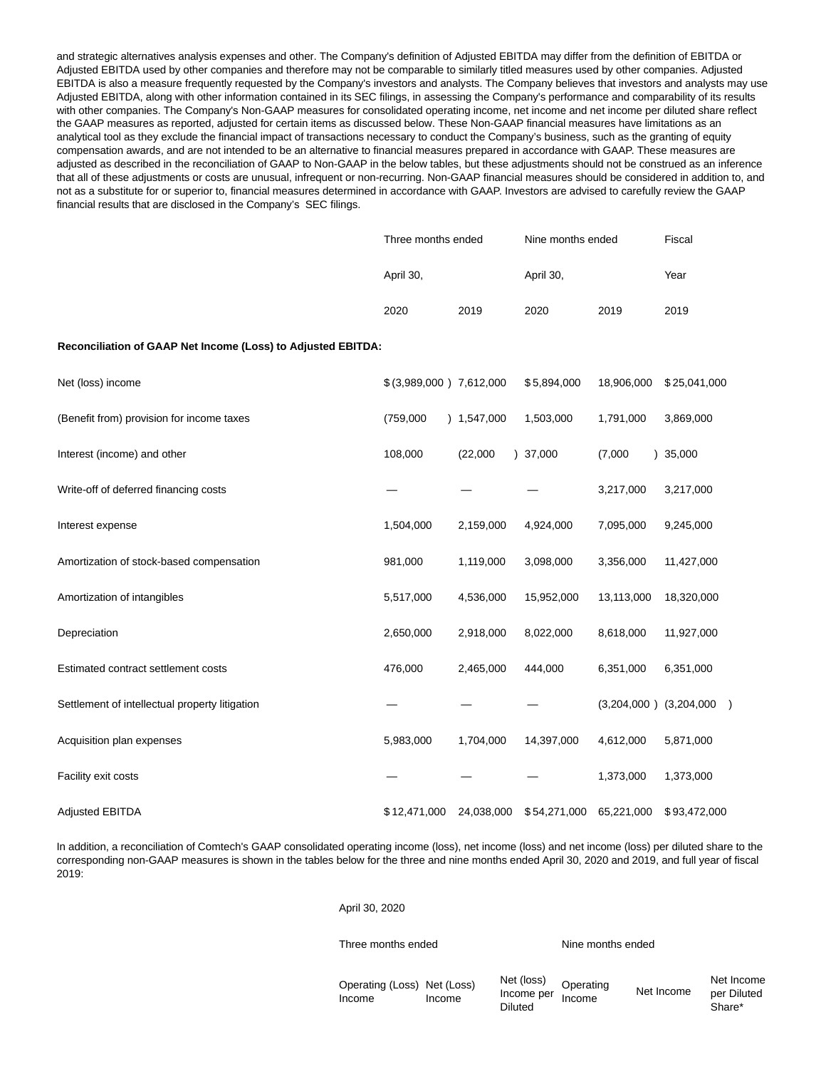and strategic alternatives analysis expenses and other. The Company's definition of Adjusted EBITDA may differ from the definition of EBITDA or Adjusted EBITDA used by other companies and therefore may not be comparable to similarly titled measures used by other companies. Adjusted EBITDA is also a measure frequently requested by the Company's investors and analysts. The Company believes that investors and analysts may use Adjusted EBITDA, along with other information contained in its SEC filings, in assessing the Company's performance and comparability of its results with other companies. The Company's Non-GAAP measures for consolidated operating income, net income and net income per diluted share reflect the GAAP measures as reported, adjusted for certain items as discussed below. These Non-GAAP financial measures have limitations as an analytical tool as they exclude the financial impact of transactions necessary to conduct the Company's business, such as the granting of equity compensation awards, and are not intended to be an alternative to financial measures prepared in accordance with GAAP. These measures are adjusted as described in the reconciliation of GAAP to Non-GAAP in the below tables, but these adjustments should not be construed as an inference that all of these adjustments or costs are unusual, infrequent or non-recurring. Non-GAAP financial measures should be considered in addition to, and not as a substitute for or superior to, financial measures determined in accordance with GAAP. Investors are advised to carefully review the GAAP financial results that are disclosed in the Company's SEC filings.

| Three months ended |      | Nine months ended | Fiscal |      |  |
|--------------------|------|-------------------|--------|------|--|
| April 30,          |      | April 30,         |        |      |  |
| 2020               | 2019 | 2020              | 2019   | 2019 |  |

#### **Reconciliation of GAAP Net Income (Loss) to Adjusted EBITDA:**

| Net (loss) income                              | $$ (3,989,000 )$ 7,612,000 |             | \$5,894,000  | 18,906,000                  | \$25,041,000 |
|------------------------------------------------|----------------------------|-------------|--------------|-----------------------------|--------------|
| (Benefit from) provision for income taxes      | (759,000                   | ) 1,547,000 | 1,503,000    | 1,791,000                   | 3,869,000    |
| Interest (income) and other                    | 108,000                    | (22,000)    | ) 37,000     | (7,000)                     | )35,000      |
| Write-off of deferred financing costs          |                            |             |              | 3,217,000                   | 3,217,000    |
| Interest expense                               | 1,504,000                  | 2,159,000   | 4,924,000    | 7,095,000                   | 9,245,000    |
| Amortization of stock-based compensation       | 981,000                    | 1,119,000   | 3,098,000    | 3,356,000                   | 11,427,000   |
| Amortization of intangibles                    | 5,517,000                  | 4,536,000   | 15,952,000   | 13,113,000                  | 18,320,000   |
| Depreciation                                   | 2,650,000                  | 2,918,000   | 8,022,000    | 8,618,000                   | 11,927,000   |
| Estimated contract settlement costs            | 476,000                    | 2,465,000   | 444,000      | 6,351,000                   | 6,351,000    |
| Settlement of intellectual property litigation |                            |             |              | $(3,204,000)$ $(3,204,000)$ |              |
| Acquisition plan expenses                      | 5,983,000                  | 1,704,000   | 14,397,000   | 4,612,000                   | 5,871,000    |
| Facility exit costs                            |                            |             |              | 1,373,000                   | 1,373,000    |
| <b>Adjusted EBITDA</b>                         | \$12,471,000               | 24,038,000  | \$54,271,000 | 65,221,000                  | \$93,472,000 |

In addition, a reconciliation of Comtech's GAAP consolidated operating income (loss), net income (loss) and net income (loss) per diluted share to the corresponding non-GAAP measures is shown in the tables below for the three and nine months ended April 30, 2020 and 2019, and full year of fiscal 2019:

| Operating (Loss) Net (Loss)<br>Income | Income | Net (loss)<br>Income per<br>Diluted |
|---------------------------------------|--------|-------------------------------------|
| Three months ended                    |        |                                     |
| April 30, 2020                        |        |                                     |

Nine months ended

Operating Income Net Income

Net Income per Diluted Share\*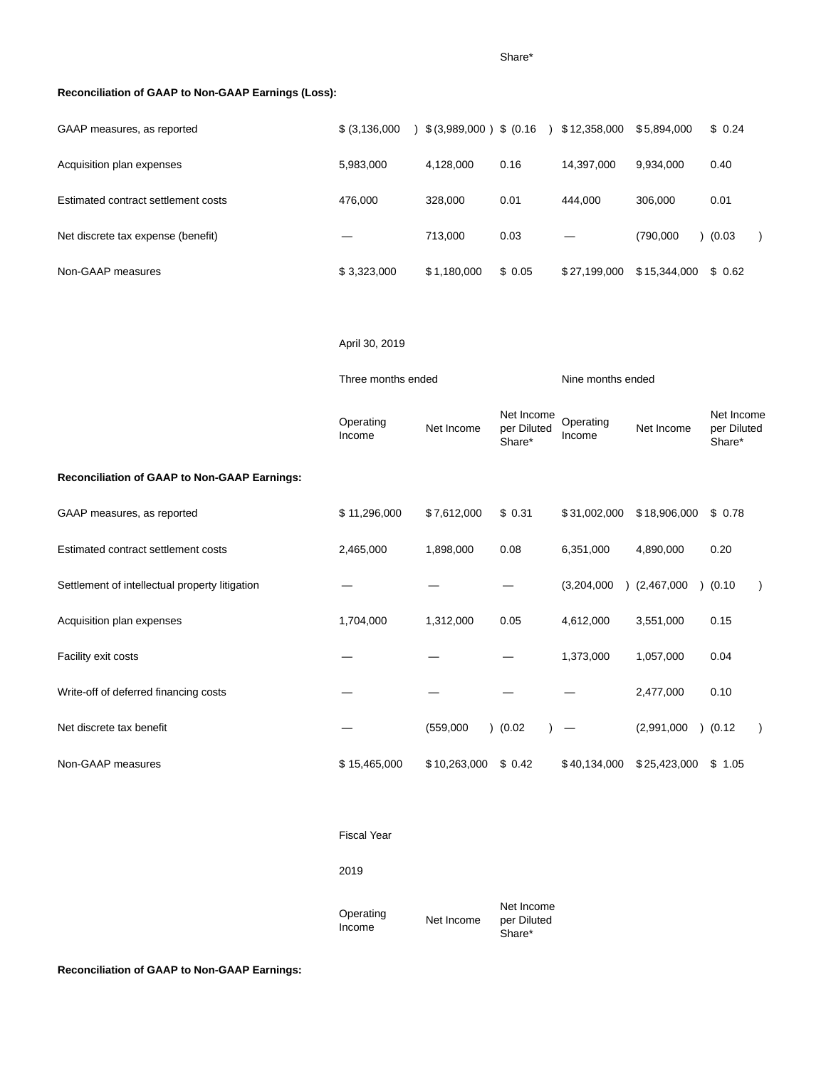### Share\*

## **Reconciliation of GAAP to Non-GAAP Earnings (Loss):**

| GAAP measures, as reported          | $$$ (3,136,000 | \$(3,989,000) \$(0.16 |        | \$12,358,000 | \$5,894,000  | \$0.24  |  |
|-------------------------------------|----------------|-----------------------|--------|--------------|--------------|---------|--|
| Acquisition plan expenses           | 5,983,000      | 4.128.000             | 0.16   | 14.397.000   | 9.934.000    | 0.40    |  |
| Estimated contract settlement costs | 476.000        | 328,000               | 0.01   | 444.000      | 306.000      | 0.01    |  |
| Net discrete tax expense (benefit)  |                | 713.000               | 0.03   |              | (790.000)    | (0.03)  |  |
| Non-GAAP measures                   | \$3,323,000    | \$1,180,000           | \$0.05 | \$27.199.000 | \$15,344,000 | \$ 0.62 |  |

## April 30, 2019

|                                                     | Three months ended  |              |                                     | Nine months ended   |              |                                     |
|-----------------------------------------------------|---------------------|--------------|-------------------------------------|---------------------|--------------|-------------------------------------|
|                                                     | Operating<br>Income | Net Income   | Net Income<br>per Diluted<br>Share* | Operating<br>Income | Net Income   | Net Income<br>per Diluted<br>Share* |
| <b>Reconciliation of GAAP to Non-GAAP Earnings:</b> |                     |              |                                     |                     |              |                                     |
| GAAP measures, as reported                          | \$11,296,000        | \$7,612,000  | \$0.31                              | \$31,002,000        | \$18,906,000 | \$0.78                              |
| Estimated contract settlement costs                 | 2,465,000           | 1,898,000    | 0.08                                | 6,351,000           | 4,890,000    | 0.20                                |
| Settlement of intellectual property litigation      |                     |              |                                     | (3,204,000)         | (2,467,000)  | (0.10)                              |
| Acquisition plan expenses                           | 1,704,000           | 1,312,000    | 0.05                                | 4,612,000           | 3,551,000    | 0.15                                |
| Facility exit costs                                 |                     |              |                                     | 1,373,000           | 1,057,000    | 0.04                                |
| Write-off of deferred financing costs               |                     |              |                                     |                     | 2,477,000    | 0.10                                |
| Net discrete tax benefit                            |                     | (559,000)    | (0.02)                              |                     | (2,991,000)  | (0.12)                              |
| Non-GAAP measures                                   | \$15,465,000        | \$10,263,000 | \$0.42                              | \$40,134,000        | \$25,423,000 | \$1.05                              |

| <b>Fiscal Year</b> |  |
|--------------------|--|
|                    |  |

2019

Operating<br>Income

Net Income

Net Income per Diluted Share\*